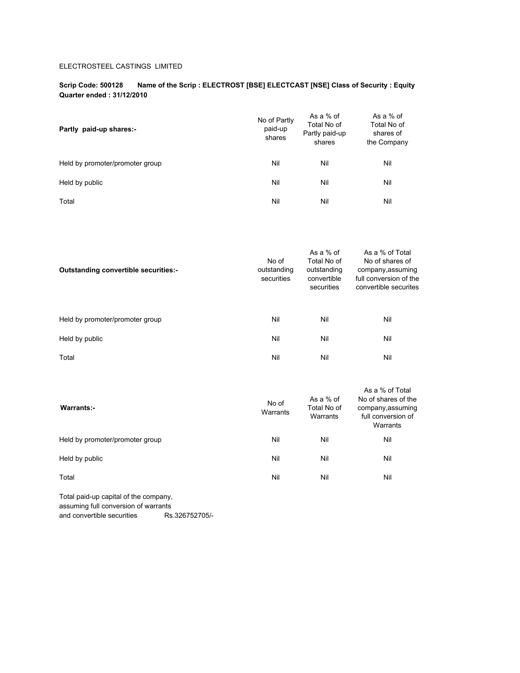### ELECTROSTEEL CASTINGS LIMITED

#### **Scrip Code: 500128 Name of the Scrip : ELECTROST [BSE] ELECTCAST [NSE] Class of Security : Equity Quarter ended : 31/12/2010**

| Partly paid-up shares:-         | No of Partly<br>paid-up<br>shares | As a % of<br>Total No of<br>Partly paid-up<br>shares | As a % of<br>Total No of<br>shares of<br>the Company |
|---------------------------------|-----------------------------------|------------------------------------------------------|------------------------------------------------------|
| Held by promoter/promoter group | Nil                               | Nil                                                  | Nil                                                  |
| Held by public                  | Nil                               | Nil                                                  | Nil                                                  |
| Total                           | Nil                               | Nil                                                  | Nil                                                  |

| <b>Outstanding convertible securities:-</b> | No of<br>outstanding<br>securities | As a $%$ of<br>Total No of<br>outstanding<br>convertible<br>securities | As a % of Total<br>No of shares of<br>company, assuming<br>full conversion of the<br>convertible securites |
|---------------------------------------------|------------------------------------|------------------------------------------------------------------------|------------------------------------------------------------------------------------------------------------|
| Held by promoter/promoter group             | Nil                                | Nil                                                                    | Nil                                                                                                        |
| Held by public                              | Nil                                | Nil                                                                    | Nil                                                                                                        |
| Total                                       | Nil                                | Nil                                                                    | Nil                                                                                                        |
|                                             |                                    |                                                                        |                                                                                                            |

| Warrants:-                      | No of<br>Warrants | As a % of<br>Total No of<br>Warrants | As a % of Total<br>No of shares of the<br>company, assuming<br>full conversion of<br>Warrants |
|---------------------------------|-------------------|--------------------------------------|-----------------------------------------------------------------------------------------------|
| Held by promoter/promoter group | Nil               | Nil                                  | Nil                                                                                           |
| Held by public                  | Nil               | Nil                                  | Nil                                                                                           |
| Total                           | Nil               | Nil                                  | Nil                                                                                           |

Total paid-up capital of the company, assuming full conversion of warrants and convertible securities Rs.326752705/-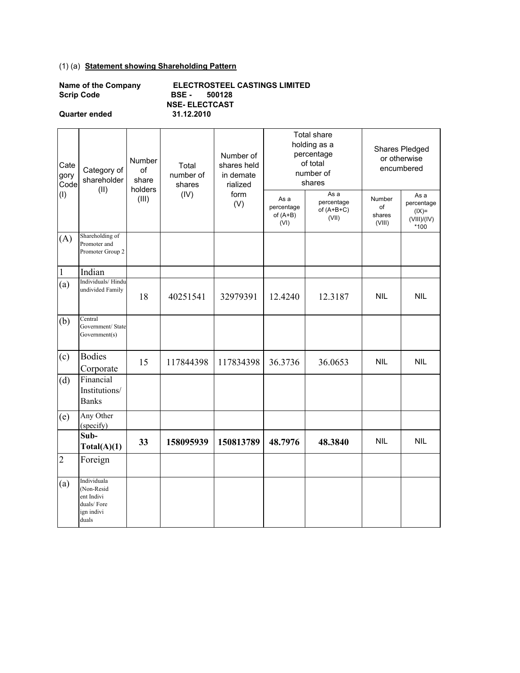## (1) (a) **Statement showing Shareholding Pattern**

| Name of the Company | ELI        |
|---------------------|------------|
| <b>Scrip Code</b>   | <b>BSE</b> |
|                     | NSF.       |

**Quarter ended 31.12.2010**

**ECTROSTEEL CASTINGS LIMITED Scrip Code BSE - 500128 NSE- ELECTCAST**

| Cate<br>gory<br>Code | Category of<br>shareholder<br>(II)                                           | Number<br>of<br>share<br>holders | Total<br>number of<br>shares | Number of<br>shares held<br>in demate<br>rialized | Total share<br>holding as a<br>percentage<br>of total<br>number of<br>shares<br>As a |                                     |                                  | Shares Pledged<br>or otherwise<br>encumbered         |
|----------------------|------------------------------------------------------------------------------|----------------------------------|------------------------------|---------------------------------------------------|--------------------------------------------------------------------------------------|-------------------------------------|----------------------------------|------------------------------------------------------|
| (1)                  |                                                                              | (III)                            | (IV)                         | form<br>(V)                                       | As a<br>percentage<br>of $(A+B)$<br>(VI)                                             | percentage<br>of $(A+B+C)$<br>(VII) | Number<br>of<br>shares<br>(VIII) | As a<br>percentage<br>$(IX)=$<br>(VIII)/(IV)<br>*100 |
| (A)                  | Shareholding of<br>Promoter and<br>Promoter Group 2                          |                                  |                              |                                                   |                                                                                      |                                     |                                  |                                                      |
| $\mathbf{1}$         | Indian                                                                       |                                  |                              |                                                   |                                                                                      |                                     |                                  |                                                      |
| (a)                  | Individuals/Hindu<br>undivided Family                                        | 18                               | 40251541                     | 32979391                                          | 12.4240                                                                              | 12.3187                             | <b>NIL</b>                       | <b>NIL</b>                                           |
| (b)                  | Central<br>Government/ State<br>Government(s)                                |                                  |                              |                                                   |                                                                                      |                                     |                                  |                                                      |
| (c)                  | <b>Bodies</b><br>Corporate                                                   | 15                               | 117844398                    | 117834398                                         | 36.3736                                                                              | 36.0653                             | <b>NIL</b>                       | <b>NIL</b>                                           |
| (d)                  | Financial<br>Institutions/<br><b>Banks</b>                                   |                                  |                              |                                                   |                                                                                      |                                     |                                  |                                                      |
| (e)                  | Any Other<br>(specify)                                                       |                                  |                              |                                                   |                                                                                      |                                     |                                  |                                                      |
|                      | Sub-<br>Total(A)(1)                                                          | 33                               | 158095939                    | 150813789                                         | 48.7976<br>48.3840                                                                   |                                     | <b>NIL</b>                       | <b>NIL</b>                                           |
| $\overline{2}$       | Foreign                                                                      |                                  |                              |                                                   |                                                                                      |                                     |                                  |                                                      |
| (a)                  | Individuala<br>(Non-Resid<br>ent Indivi<br>duals/Fore<br>ign indivi<br>duals |                                  |                              |                                                   |                                                                                      |                                     |                                  |                                                      |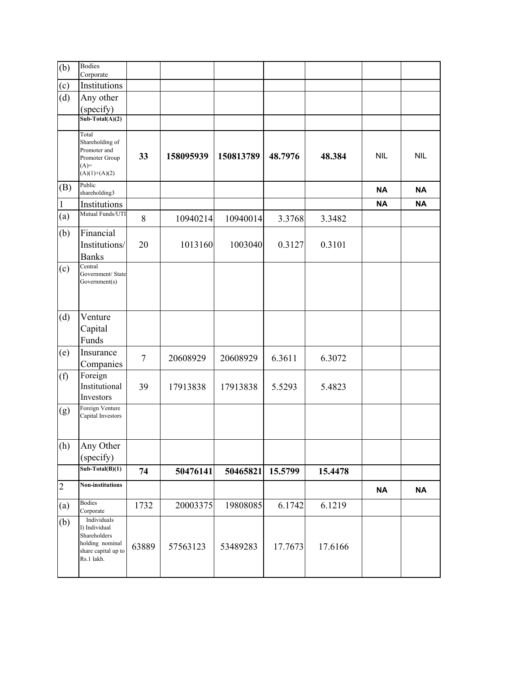| (b)            | <b>Bodies</b><br>Corporate                                                                           |        |           |           |         |         |            |            |
|----------------|------------------------------------------------------------------------------------------------------|--------|-----------|-----------|---------|---------|------------|------------|
| (c)            | Institutions                                                                                         |        |           |           |         |         |            |            |
| (d)            | Any other                                                                                            |        |           |           |         |         |            |            |
|                | (specify)                                                                                            |        |           |           |         |         |            |            |
|                | $Sub-Total(A)(2)$                                                                                    |        |           |           |         |         |            |            |
|                | Total<br>Shareholding of<br>Promoter and<br>Promoter Group<br>$(A)=$<br>$(A)(1)+(A)(2)$              | 33     | 158095939 | 150813789 | 48.7976 | 48.384  | <b>NIL</b> | <b>NIL</b> |
| (B)            | Public<br>shareholding3                                                                              |        |           |           |         |         | <b>NA</b>  | <b>NA</b>  |
| 1              | Institutions                                                                                         |        |           |           |         |         | <b>NA</b>  | <b>NA</b>  |
| (a)            | Mutual Funds/UTI                                                                                     | $8\,$  | 10940214  | 10940014  | 3.3768  | 3.3482  |            |            |
| (b)            | Financial<br>Institutions/<br><b>Banks</b>                                                           | 20     | 1013160   | 1003040   | 0.3127  | 0.3101  |            |            |
| (c)            | Central<br>Government/ State<br>Government(s)                                                        |        |           |           |         |         |            |            |
| (d)            | Venture                                                                                              |        |           |           |         |         |            |            |
|                | Capital                                                                                              |        |           |           |         |         |            |            |
|                | Funds                                                                                                |        |           |           |         |         |            |            |
| (e)            | Insurance<br>Companies                                                                               | $\tau$ | 20608929  | 20608929  | 6.3611  | 6.3072  |            |            |
| (f)            | Foreign<br>Institutional<br>Investors                                                                | 39     | 17913838  | 17913838  | 5.5293  | 5.4823  |            |            |
| (g)            | Foreign Venture<br>Capital Investors                                                                 |        |           |           |         |         |            |            |
| (h)            | Any Other                                                                                            |        |           |           |         |         |            |            |
|                | (specify)                                                                                            |        |           |           |         |         |            |            |
|                | $Sub-Total(B)(1)$                                                                                    | 74     | 50476141  | 50465821  | 15.5799 | 15.4478 |            |            |
| $\overline{2}$ | Non-institutions                                                                                     |        |           |           |         |         | <b>NA</b>  | <b>NA</b>  |
| (a)            | <b>Bodies</b><br>Corporate                                                                           | 1732   | 20003375  | 19808085  | 6.1742  | 6.1219  |            |            |
| (b)            | Individuals<br>I) Individual<br>Shareholders<br>holding nominal<br>share capital up to<br>Rs.1 lakh. | 63889  | 57563123  | 53489283  | 17.7673 | 17.6166 |            |            |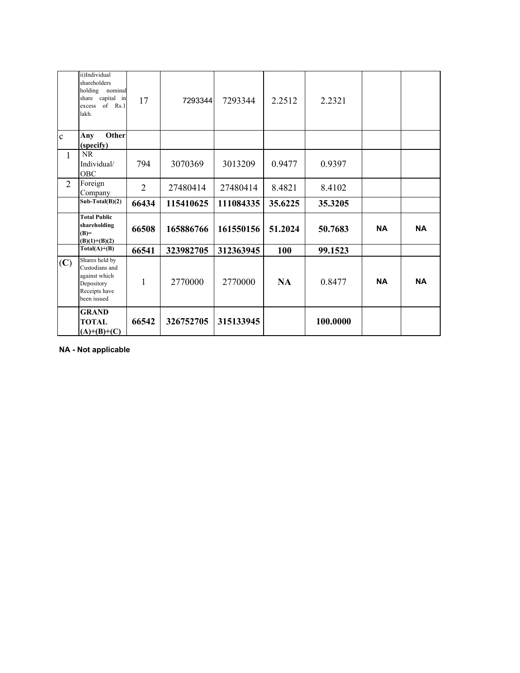|                | ii)Individual<br>shareholders<br>holding nominal<br>share capital in<br>of $Rs.1$<br>excess<br>lakh. | 17             | 7293344   | 7293344   | 2.2512    | 2.2321   |           |           |
|----------------|------------------------------------------------------------------------------------------------------|----------------|-----------|-----------|-----------|----------|-----------|-----------|
| $\mathbf{c}$   | Other<br>Any                                                                                         |                |           |           |           |          |           |           |
|                | (specify)                                                                                            |                |           |           |           |          |           |           |
| $\mathbf{1}$   | NR<br>Individual/<br>OBC                                                                             | 794            | 3070369   | 3013209   | 0.9477    | 0.9397   |           |           |
| $\overline{2}$ | Foreign<br>Company                                                                                   | $\overline{2}$ | 27480414  | 27480414  | 8.4821    | 8.4102   |           |           |
|                | $Sub-Total(B)(2)$                                                                                    | 66434          | 115410625 | 111084335 | 35.6225   | 35.3205  |           |           |
|                | <b>Total Public</b><br>shareholding<br>$(B)=$<br>$(B)(1)+(B)(2)$                                     | 66508          | 165886766 | 161550156 | 51.2024   | 50.7683  | <b>NA</b> | <b>NA</b> |
|                | $Total(A)+(B)$                                                                                       | 66541          | 323982705 | 312363945 | 100       | 99.1523  |           |           |
| (C)            | Shares held by<br>Custodians and<br>against which<br>Depository<br>Receipts have<br>been issued      | 1              | 2770000   | 2770000   | <b>NA</b> | 0.8477   | <b>NA</b> | <b>NA</b> |
|                | <b>GRAND</b><br><b>TOTAL</b><br>$(A)+(B)+(C)$                                                        | 66542          | 326752705 | 315133945 |           | 100.0000 |           |           |

**NA - Not applicable**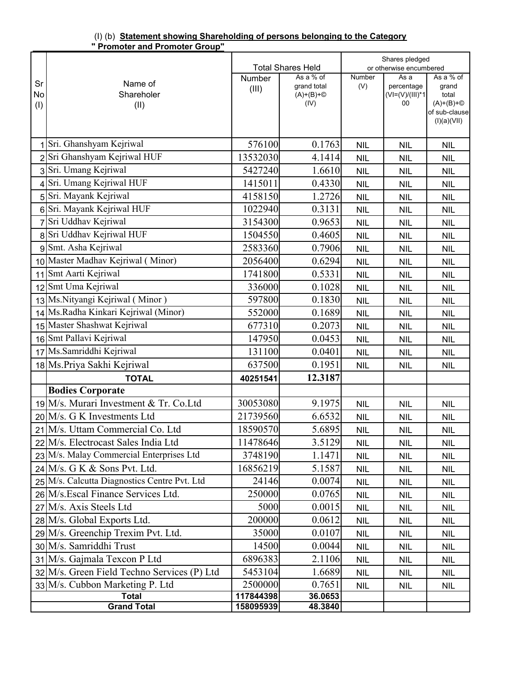| (I) (b) Statement showing Shareholding of persons belonging to the Category |  |  |
|-----------------------------------------------------------------------------|--|--|
| " Promoter and Promoter Group"                                              |  |  |

|                |                                              |           | <b>Total Shares Held</b> |                             | Shares pledged<br>or otherwise encumbered |                                       |
|----------------|----------------------------------------------|-----------|--------------------------|-----------------------------|-------------------------------------------|---------------------------------------|
|                |                                              | Number    | As a % of                | Number                      | As a                                      | As a % of                             |
| Sr             | Name of                                      | (III)     | grand total              | (V)                         | percentage                                | grand                                 |
| No             | Shareholer                                   |           | $(A)+(B)+\circled{}$     |                             | $(VI=(V)/(III)*1)$<br>00                  | total                                 |
| (I)            | (II)                                         |           | (IV)                     |                             |                                           | $(A)+(B)+\circled{}$<br>of sub-clause |
|                |                                              |           |                          |                             |                                           | (I)(a)(VII)                           |
|                |                                              |           |                          |                             |                                           |                                       |
| 1              | Sri. Ghanshyam Kejriwal                      | 576100    | 0.1763                   | <b>NIL</b>                  | <b>NIL</b>                                | <b>NIL</b>                            |
| $\overline{2}$ | Sri Ghanshyam Kejriwal HUF                   | 13532030  | 4.1414                   | <b>NIL</b>                  | <b>NIL</b>                                | <b>NIL</b>                            |
|                | 3 Sri. Umang Kejriwal                        | 5427240   | 1.6610                   | <b>NIL</b>                  | <b>NIL</b>                                | <b>NIL</b>                            |
|                | Sri. Umang Kejriwal HUF                      | 1415011   | 0.4330                   | <b>NIL</b>                  | <b>NIL</b>                                | <b>NIL</b>                            |
|                | 5 Sri. Mayank Kejriwal                       | 4158150   | 1.2726                   | <b>NIL</b>                  | <b>NIL</b>                                | <b>NIL</b>                            |
|                | 6 Sri. Mayank Kejriwal HUF                   | 1022940   | 0.3131                   | <b>NIL</b>                  | <b>NIL</b>                                | <b>NIL</b>                            |
|                | 7 Sri Uddhav Kejriwal                        | 3154300   | 0.9653                   | <b>NIL</b>                  | <b>NIL</b>                                | <b>NIL</b>                            |
|                | 8 Sri Uddhav Kejriwal HUF                    | 1504550   | 0.4605                   | <b>NIL</b>                  | <b>NIL</b>                                | <b>NIL</b>                            |
|                | 9 Smt. Asha Kejriwal                         | 2583360   | 0.7906                   | <b>NIL</b>                  | <b>NIL</b>                                | <b>NIL</b>                            |
|                | 10 Master Madhav Kejriwal (Minor)            | 2056400   | 0.6294                   | <b>NIL</b>                  | <b>NIL</b>                                | <b>NIL</b>                            |
|                | 11 Smt Aarti Kejriwal                        | 1741800   | 0.5331                   | <b>NIL</b>                  | <b>NIL</b>                                | <b>NIL</b>                            |
|                | 12 Smt Uma Kejriwal                          | 336000    | 0.1028                   | <b>NIL</b>                  | <b>NIL</b>                                | <b>NIL</b>                            |
|                | 13 Ms. Nityangi Kejriwal (Minor)             | 597800    | 0.1830                   | <b>NIL</b>                  | <b>NIL</b>                                | <b>NIL</b>                            |
|                | 14 Ms.Radha Kinkari Kejriwal (Minor)         | 552000    | 0.1689                   | <b>NIL</b>                  | <b>NIL</b>                                | <b>NIL</b>                            |
|                | 15 Master Shashwat Kejriwal                  | 677310    | 0.2073                   | <b>NIL</b>                  | <b>NIL</b>                                | <b>NIL</b>                            |
|                | 16 Smt Pallavi Kejriwal                      | 147950    | 0.0453                   | <b>NIL</b>                  | <b>NIL</b>                                | <b>NIL</b>                            |
|                | 17 Ms. Samriddhi Kejriwal                    | 131100    | 0.0401                   | <b>NIL</b>                  | <b>NIL</b>                                | <b>NIL</b>                            |
|                | 18 Ms.Priya Sakhi Kejriwal                   | 637500    | 0.1951                   | <b>NIL</b>                  | <b>NIL</b>                                | <b>NIL</b>                            |
|                | <b>TOTAL</b>                                 | 40251541  | 12.3187                  |                             |                                           |                                       |
|                | <b>Bodies Corporate</b>                      |           |                          |                             |                                           |                                       |
|                | 19 M/s. Murari Investment & Tr. Co. Ltd      | 30053080  | 9.1975                   | <b>NIL</b>                  | <b>NIL</b>                                | <b>NIL</b>                            |
|                | $20$ M/s. G K Investments Ltd                | 21739560  | 6.6532                   | <b>NIL</b>                  | <b>NIL</b>                                | <b>NIL</b>                            |
|                | 21 M/s. Uttam Commercial Co. Ltd             | 18590570  | 5.6895                   | <b>NIL</b>                  | <b>NIL</b>                                | <b>NIL</b>                            |
|                | 22 M/s. Electrocast Sales India Ltd          | 11478646  | 3.5129                   | <b>NIL</b>                  | <b>NIL</b>                                | <b>NIL</b>                            |
|                | 23 M/s. Malay Commercial Enterprises Ltd     | 3748190   | 1.1471                   | <b>NIL</b>                  | <b>NIL</b>                                | <b>NIL</b>                            |
|                | $24$ M/s. G K & Sons Pvt. Ltd.               | 16856219  | 5.1587                   | <b>NIL</b>                  | <b>NIL</b>                                | <b>NIL</b>                            |
|                | 25 M/s. Calcutta Diagnostics Centre Pvt. Ltd | 24146     | 0.0074                   | <b>NIL</b>                  | <b>NIL</b>                                | <b>NIL</b>                            |
|                | 26 M/s. Escal Finance Services Ltd.          | 250000    | 0.0765                   | <b>NIL</b>                  | <b>NIL</b>                                | <b>NIL</b>                            |
|                | 27 M/s. Axis Steels Ltd                      | 5000      | 0.0015                   | <b>NIL</b>                  | <b>NIL</b>                                | <b>NIL</b>                            |
|                | 28 M/s. Global Exports Ltd.                  | 200000    | 0.0612                   | <b>NIL</b>                  | <b>NIL</b>                                | <b>NIL</b>                            |
|                | 29 M/s. Greenchip Trexim Pvt. Ltd.           | 35000     | 0.0107                   | <b>NIL</b>                  | <b>NIL</b>                                | <b>NIL</b>                            |
|                | 30 M/s. Samriddhi Trust                      | 14500     | 0.0044                   | <b>NIL</b>                  | <b>NIL</b>                                | <b>NIL</b>                            |
|                | 31 M/s. Gajmala Texcon P Ltd                 | 6896383   | 2.1106                   | <b>NIL</b>                  | <b>NIL</b>                                | <b>NIL</b>                            |
|                | 32 M/s. Green Field Techno Services (P) Ltd  | 5453104   | 1.6689                   | <b>NIL</b>                  | <b>NIL</b>                                | <b>NIL</b>                            |
|                | 33 M/s. Cubbon Marketing P. Ltd              | 2500000   | 0.7651                   | $\ensuremath{\mathsf{NIL}}$ | <b>NIL</b>                                | NIL                                   |
|                | <b>Total</b>                                 | 117844398 | 36.0653                  |                             |                                           |                                       |
|                | <b>Grand Total</b>                           | 158095939 | 48.3840                  |                             |                                           |                                       |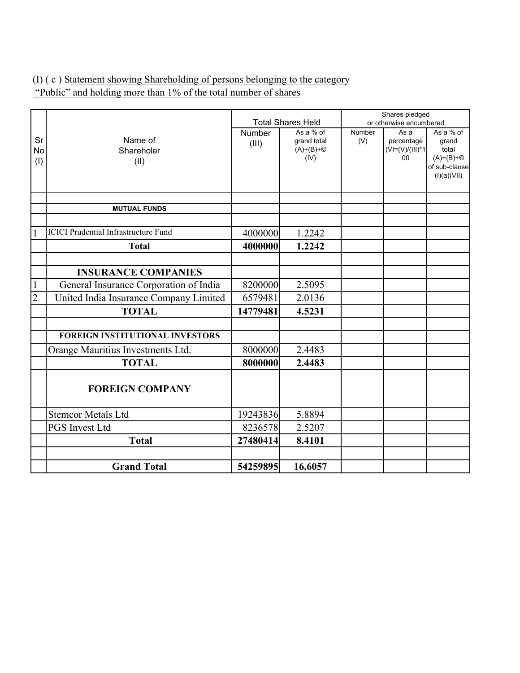# (I) ( c ) Statement showing Shareholding of persons belonging to the category "Public" and holding more than 1% of the total number of shares

|                |                                             |               |                          |               | Shares pledged                  |                      |
|----------------|---------------------------------------------|---------------|--------------------------|---------------|---------------------------------|----------------------|
|                |                                             |               | <b>Total Shares Held</b> |               | or otherwise encumbered         |                      |
| Sr             | Name of                                     | <b>Number</b> | As a % of<br>grand total | Number<br>(V) | As a                            | As a % of            |
| No             | Shareholer                                  | (III)         | $(A)+(B)+\circled{}$     |               | percentage<br>$(VI=(V)/(III)*1$ | grand<br>total       |
| (1)            | (II)                                        |               | (IV)                     |               | 00                              | $(A)+(B)+\circled{}$ |
|                |                                             |               |                          |               |                                 | of sub-clause        |
|                |                                             |               |                          |               |                                 | (I)(a)(VII)          |
|                |                                             |               |                          |               |                                 |                      |
|                | <b>MUTUAL FUNDS</b>                         |               |                          |               |                                 |                      |
|                |                                             |               |                          |               |                                 |                      |
| 1              | <b>ICICI Prudential Infrastructure Fund</b> | 4000000       | 1.2242                   |               |                                 |                      |
|                | <b>Total</b>                                | 4000000       | 1.2242                   |               |                                 |                      |
|                |                                             |               |                          |               |                                 |                      |
|                | <b>INSURANCE COMPANIES</b>                  |               |                          |               |                                 |                      |
| $\mathbf{1}$   | General Insurance Corporation of India      | 8200000       | 2.5095                   |               |                                 |                      |
| $\overline{2}$ | United India Insurance Company Limited      | 6579481       | 2.0136                   |               |                                 |                      |
|                | <b>TOTAL</b>                                | 14779481      | 4.5231                   |               |                                 |                      |
|                |                                             |               |                          |               |                                 |                      |
|                | <b>FOREIGN INSTITUTIONAL INVESTORS</b>      |               |                          |               |                                 |                      |
|                | Orange Mauritius Investments Ltd.           | 8000000       | 2.4483                   |               |                                 |                      |
|                | <b>TOTAL</b>                                | 8000000       | 2.4483                   |               |                                 |                      |
|                |                                             |               |                          |               |                                 |                      |
|                | <b>FOREIGN COMPANY</b>                      |               |                          |               |                                 |                      |
|                |                                             |               |                          |               |                                 |                      |
|                | <b>Stemcor Metals Ltd</b>                   | 19243836      | 5.8894                   |               |                                 |                      |
|                | <b>PGS</b> Invest Ltd                       | 8236578       | 2.5207                   |               |                                 |                      |
|                | <b>Total</b>                                | 27480414      | 8.4101                   |               |                                 |                      |
|                |                                             |               |                          |               |                                 |                      |
|                | <b>Grand Total</b>                          | 54259895      | 16.6057                  |               |                                 |                      |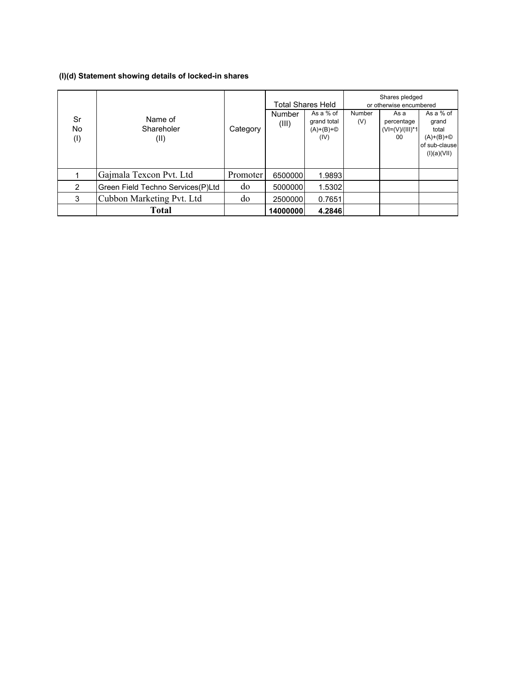# **(I)(d) Statement showing details of locked-in shares**

|                  |                                   |          |                 | <b>Total Shares Held</b>                                 |               | Shares pledged<br>or otherwise encumbered        |                                                                                     |
|------------------|-----------------------------------|----------|-----------------|----------------------------------------------------------|---------------|--------------------------------------------------|-------------------------------------------------------------------------------------|
| Sr<br>No.<br>(1) | Name of<br>Shareholer<br>(II)     | Category | Number<br>(III) | As a % of<br>grand total<br>$(A)+(B)+\circled{}$<br>(IV) | Number<br>(V) | As a<br>percentage<br>$(V = (V)/(III)^*1)$<br>00 | As a % of<br>grand<br>total<br>$(A)+(B)+\circled{}$<br>of sub-clause<br>(I)(a)(VII) |
|                  | Gajmala Texcon Pvt. Ltd           | Promoter | 6500000         | 1.9893                                                   |               |                                                  |                                                                                     |
| 2                | Green Field Techno Services(P)Ltd | do       | 5000000         | 1.5302                                                   |               |                                                  |                                                                                     |
| 3                | Cubbon Marketing Pvt. Ltd         | do       | 2500000         | 0.7651                                                   |               |                                                  |                                                                                     |
|                  | Total                             |          | 14000000        | 4.2846                                                   |               |                                                  |                                                                                     |